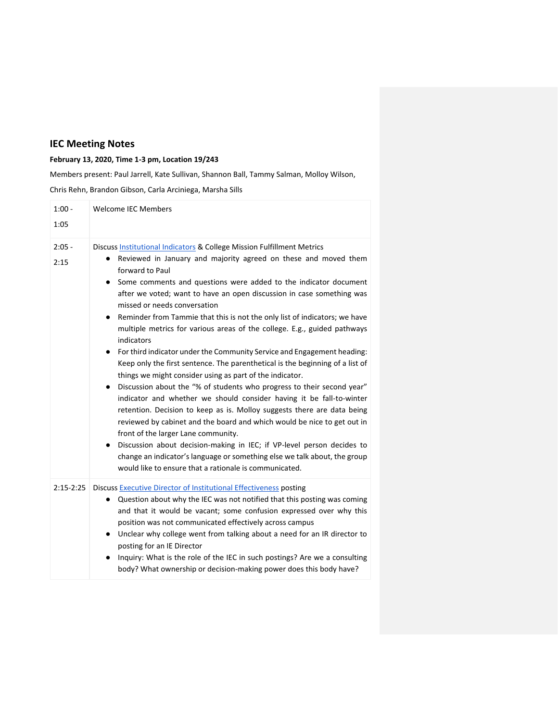## **IEC Meeting Notes**

## **February 13, 2020, Time 1-3 pm, Location 19/243**

Members present: Paul Jarrell, Kate Sullivan, Shannon Ball, Tammy Salman, Molloy Wilson,

Chris Rehn, Brandon Gibson, Carla Arciniega, Marsha Sills

| $1:00 -$<br>1:05 | <b>Welcome IEC Members</b>                                                                                                                                                                                                                                                                                                                                                                                                                                                                                                                                                                                                                                                                                                                                                                                                                                                                                                                                                                                                                                                                                                                                                                                                                                                                                                                                         |
|------------------|--------------------------------------------------------------------------------------------------------------------------------------------------------------------------------------------------------------------------------------------------------------------------------------------------------------------------------------------------------------------------------------------------------------------------------------------------------------------------------------------------------------------------------------------------------------------------------------------------------------------------------------------------------------------------------------------------------------------------------------------------------------------------------------------------------------------------------------------------------------------------------------------------------------------------------------------------------------------------------------------------------------------------------------------------------------------------------------------------------------------------------------------------------------------------------------------------------------------------------------------------------------------------------------------------------------------------------------------------------------------|
| $2:05 -$<br>2:15 | Discuss Institutional Indicators & College Mission Fulfillment Metrics<br>Reviewed in January and majority agreed on these and moved them<br>$\bullet$<br>forward to Paul<br>Some comments and questions were added to the indicator document<br>$\bullet$<br>after we voted; want to have an open discussion in case something was<br>missed or needs conversation<br>Reminder from Tammie that this is not the only list of indicators; we have<br>٠<br>multiple metrics for various areas of the college. E.g., guided pathways<br>indicators<br>For third indicator under the Community Service and Engagement heading:<br>$\bullet$<br>Keep only the first sentence. The parenthetical is the beginning of a list of<br>things we might consider using as part of the indicator.<br>Discussion about the "% of students who progress to their second year"<br>$\bullet$<br>indicator and whether we should consider having it be fall-to-winter<br>retention. Decision to keep as is. Molloy suggests there are data being<br>reviewed by cabinet and the board and which would be nice to get out in<br>front of the larger Lane community.<br>Discussion about decision-making in IEC; if VP-level person decides to<br>change an indicator's language or something else we talk about, the group<br>would like to ensure that a rationale is communicated. |
| $2:15-2:25$      | Discuss Executive Director of Institutional Effectiveness posting<br>Question about why the IEC was not notified that this posting was coming<br>٠<br>and that it would be vacant; some confusion expressed over why this<br>position was not communicated effectively across campus<br>Unclear why college went from talking about a need for an IR director to<br>$\bullet$<br>posting for an IE Director<br>Inquiry: What is the role of the IEC in such postings? Are we a consulting<br>body? What ownership or decision-making power does this body have?                                                                                                                                                                                                                                                                                                                                                                                                                                                                                                                                                                                                                                                                                                                                                                                                    |